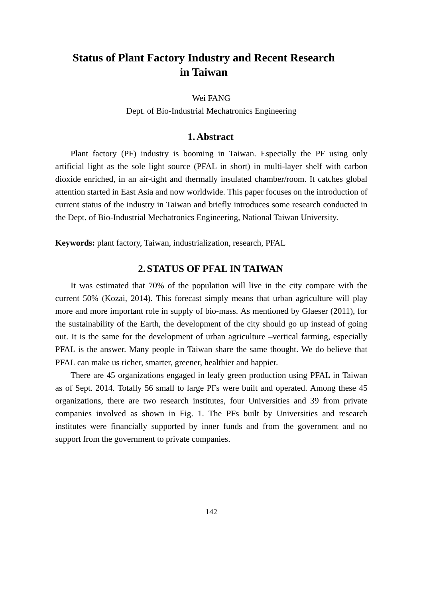# **Status of Plant Factory Industry and Recent Research in Taiwan**

Wei FANG

Dept. of Bio-Industrial Mechatronics Engineering

## **1. Abstract**

Plant factory (PF) industry is booming in Taiwan. Especially the PF using only artificial light as the sole light source (PFAL in short) in multi-layer shelf with carbon dioxide enriched, in an air-tight and thermally insulated chamber/room. It catches global attention started in East Asia and now worldwide. This paper focuses on the introduction of current status of the industry in Taiwan and briefly introduces some research conducted in the Dept. of Bio-Industrial Mechatronics Engineering, National Taiwan University.

**Keywords:** plant factory, Taiwan, industrialization, research, PFAL

# **2. STATUS OF PFAL IN TAIWAN**

It was estimated that 70% of the population will live in the city compare with the current 50% (Kozai, 2014). This forecast simply means that urban agriculture will play more and more important role in supply of bio-mass. As mentioned by Glaeser (2011), for the sustainability of the Earth, the development of the city should go up instead of going out. It is the same for the development of urban agriculture –vertical farming, especially PFAL is the answer. Many people in Taiwan share the same thought. We do believe that PFAL can make us richer, smarter, greener, healthier and happier.

There are 45 organizations engaged in leafy green production using PFAL in Taiwan as of Sept. 2014. Totally 56 small to large PFs were built and operated. Among these 45 organizations, there are two research institutes, four Universities and 39 from private companies involved as shown in Fig. 1. The PFs built by Universities and research institutes were financially supported by inner funds and from the government and no support from the government to private companies.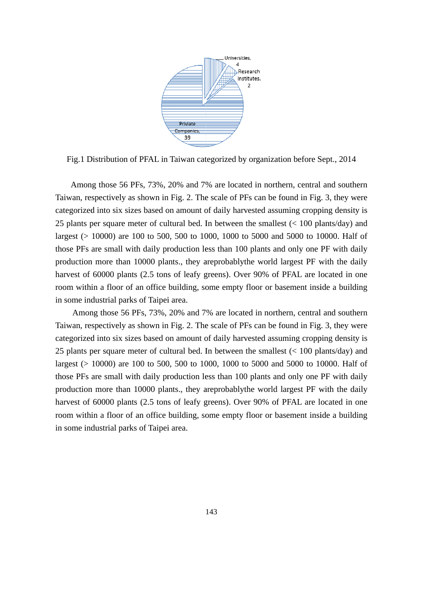

Fig.1 Distribution of PFAL in Taiwan categorized by organization before Sept., 2014

Among those 56 PFs, 73%, 20% and 7% are located in northern, central and southern Taiwan, respectively as shown in Fig. 2. The scale of PFs can be found in Fig. 3, they were categorized into six sizes based on amount of daily harvested assuming cropping density is 25 plants per square meter of cultural bed. In between the smallest  $\left($  < 100 plants/day) and largest (> 10000) are 100 to 500, 500 to 1000, 1000 to 5000 and 5000 to 10000. Half of those PFs are small with daily production less than 100 plants and only one PF with daily production more than 10000 plants., they areprobably the world largest PF with the daily harvest of 60000 plants (2.5 tons of leafy greens). Over 90% of PFAL are located in one room within a floor of an office building, some empty floor or basement inside a building in some industrial parks of Taipei area.

Among those 56 PFs, 73%, 20% and 7% are located in northern, central and southern Taiwan, respectively as shown in Fig. 2. The scale of PFs can be found in Fig. 3, they were categorized into six sizes based on amount of daily harvested assuming cropping density is 25 plants per square meter of cultural bed. In between the smallest  $\left($  < 100 plants/day) and largest (> 10000) are 100 to 500, 500 to 1000, 1000 to 5000 and 5000 to 10000. Half of those PFs are small with daily production less than 100 plants and only one PF with daily production more than 10000 plants., they areprobably the world largest PF with the daily harvest of 60000 plants (2.5 tons of leafy greens). Over 90% of PFAL are located in one room within a floor of an office building, some empty floor or basement inside a building in some industrial parks of Taipei area.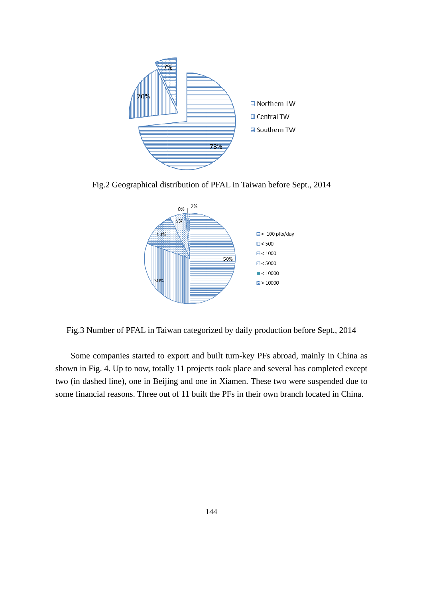

Fig.2 Geographical distribution of PFAL in Taiwan before Sept., 2014



Fig.3 Number of PFAL in Taiwan categorized by daily production before Sept., 2014

Some companies started to export and built turn-key PFs abroad, mainly in China as shown in Fig. 4. Up to now, totally 11 projects took place and several has completed except two (in dashed line), one in Beijing and one in Xiamen. These two were suspended due to some financial reasons. Three out of 11 built the PFs in their own branch located in China.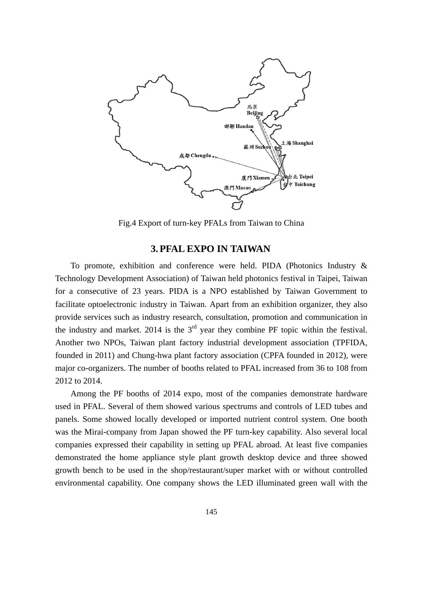

Fig.4 Export of turn-key PFALs from Taiwan to China

## **3. PFAL EXPO IN TAIWAN**

To promote, exhibition and conference were held. PIDA (Photonics Industry & Technology Development Association) of Taiwan held photonics festival in Taipei, Taiwan for a consecutive of 23 years. PIDA is a NPO established by Taiwan Government to facilitate optoelectronic industry in Taiwan. Apart from an exhibition organizer, they also provide services such as industry research, consultation, promotion and communication in the industry and market. 2014 is the  $3<sup>rd</sup>$  year they combine PF topic within the festival. Another two NPOs, Taiwan plant factory industrial development association (TPFIDA, founded in 2011) and Chung-hwa plant factory association (CPFA founded in 2012), were major co-organizers. The number of booths related to PFAL increased from 36 to 108 from 2012 to 2014.

Among the PF booths of 2014 expo, most of the companies demonstrate hardware used in PFAL. Several of them showed various spectrums and controls of LED tubes and panels. Some showed locally developed or imported nutrient control system. One booth was the Mirai-company from Japan showed the PF turn-key capability. Also several local companies expressed their capability in setting up PFAL abroad. At least five companies demonstrated the home appliance style plant growth desktop device and three showed growth bench to be used in the shop/restaurant/super market with or without controlled environmental capability. One company shows the LED illuminated green wall with the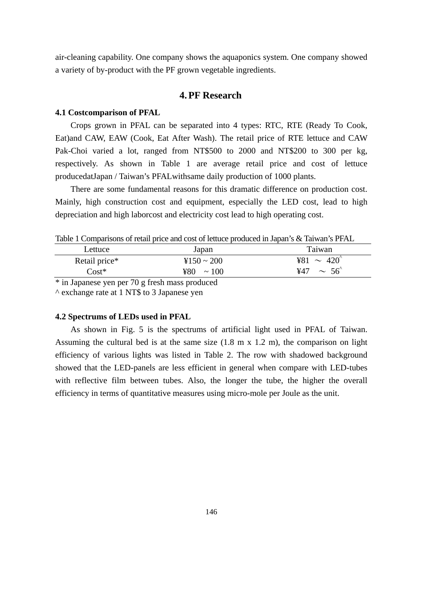air-cleaning capability. One company shows the aquaponics system. One company showed a variety of by-product with the PF grown vegetable ingredients.

# **4. PF Research**

#### **4.1 Costcomparison of PFAL**

Crops grown in PFAL can be separated into 4 types: RTC, RTE (Ready To Cook, Eat)and CAW, EAW (Cook, Eat After Wash). The retail price of RTE lettuce and CAW Pak-Choi varied a lot, ranged from NT\$500 to 2000 and NT\$200 to 300 per kg, respectively. As shown in Table 1 are average retail price and cost of lettuce producedatJapan / Taiwan's PFALwithsame daily production of 1000 plants.

There are some fundamental reasons for this dramatic difference on production cost. Mainly, high construction cost and equipment, especially the LED cost, lead to high depreciation and high laborcost and electricity cost lead to high operating cost.

Table 1 Comparisons of retail price and cost of lettuce produced in Japan's & Taiwan's PFAL

| Lettuce       | Japan             | Taiwan                                           |
|---------------|-------------------|--------------------------------------------------|
| Retail price* | $4150 \sim 200$   | ¥81 $\sim$ 420 <sup>°</sup>                      |
| $Cost*$       | ¥80<br>$\sim 100$ | $\sim$ 56 <sup><math>\degree</math></sup><br>¥47 |

\* in Japanese yen per 70 g fresh mass produced

^ exchange rate at 1 NT\$ to 3 Japanese yen

#### **4.2 Spectrums of LEDs used in PFAL**

As shown in Fig. 5 is the spectrums of artificial light used in PFAL of Taiwan. Assuming the cultural bed is at the same size  $(1.8 \text{ m} \times 1.2 \text{ m})$ , the comparison on light efficiency of various lights was listed in Table 2. The row with shadowed background showed that the LED-panels are less efficient in general when compare with LED-tubes with reflective film between tubes. Also, the longer the tube, the higher the overall efficiency in terms of quantitative measures using micro-mole per Joule as the unit.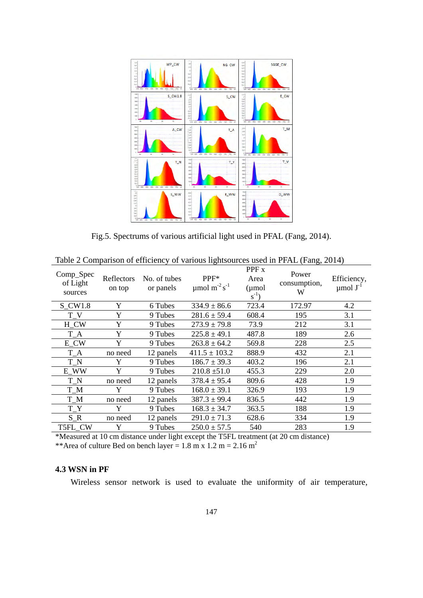

Fig.5. Spectrums of various artificial light used in PFAL (Fang, 2014).

| Comp_Spec<br>of Light<br>sources | Reflectors<br>on top | No. of tubes<br>or panels | PPF*<br>$\mu$ mol m <sup>-2</sup> s <sup>-1</sup> | PPF <sub>x</sub><br>Area<br>$(\mu$ mol<br>$s^{-1}$ ) | Power<br>consumption,<br>W | Efficiency,<br>$\mu$ mol J <sup>-1</sup> |
|----------------------------------|----------------------|---------------------------|---------------------------------------------------|------------------------------------------------------|----------------------------|------------------------------------------|
| $S_CW1.8$                        | Y                    | 6 Tubes                   | $334.9 \pm 86.6$                                  | 723.4                                                | 172.97                     | 4.2                                      |
| $T_{V}$                          | Y                    | 9 Tubes                   | $281.6 \pm 59.4$                                  | 608.4                                                | 195                        | 3.1                                      |
| H_CW                             | Y                    | 9 Tubes                   | $273.9 \pm 79.8$                                  | 73.9                                                 | 212                        | 3.1                                      |
| $T_A$                            | Y                    | 9 Tubes                   | $225.8 \pm 49.1$                                  | 487.8                                                | 189                        | 2.6                                      |
| E_CW                             | Y                    | 9 Tubes                   | $263.8 \pm 64.2$                                  | 569.8                                                | 228                        | 2.5                                      |
| $T_A$                            | no need              | 12 panels                 | $411.5 \pm 103.2$                                 | 888.9                                                | 432                        | 2.1                                      |
| $T_N$                            | Y                    | 9 Tubes                   | $186.7 \pm 39.3$                                  | 403.2                                                | 196                        | 2.1                                      |
| E_WW                             | Y                    | 9 Tubes                   | $210.8 \pm 51.0$                                  | 455.3                                                | 229                        | 2.0                                      |
| $T_N$                            | no need              | 12 panels                 | $378.4 \pm 95.4$                                  | 809.6                                                | 428                        | 1.9                                      |
| $T_M$                            | Y                    | 9 Tubes                   | $168.0 \pm 39.1$                                  | 326.9                                                | 193                        | 1.9                                      |
| $T_M$                            | no need              | 12 panels                 | $387.3 \pm 99.4$                                  | 836.5                                                | 442                        | 1.9                                      |
| $T_{-}Y$                         | Y                    | 9 Tubes                   | $168.3 \pm 34.7$                                  | 363.5                                                | 188                        | 1.9                                      |
| $S_R$                            | no need              | 12 panels                 | $291.0 \pm 71.3$                                  | 628.6                                                | 334                        | 1.9                                      |
| T5FL_CW                          | Y                    | 9 Tubes                   | $250.0 \pm 57.5$                                  | 540                                                  | 283                        | 1.9                                      |

Table 2 Comparison of efficiency of various lightsources used in PFAL (Fang, 2014)

\*Measured at 10 cm distance under light except the T5FL treatment (at 20 cm distance)

\*\*Area of culture Bed on bench layer =  $1.8 \text{ m} \times 1.2 \text{ m} = 2.16 \text{ m}^2$ 

## **4.3 WSN in PF**

Wireless sensor network is used to evaluate the uniformity of air temperature,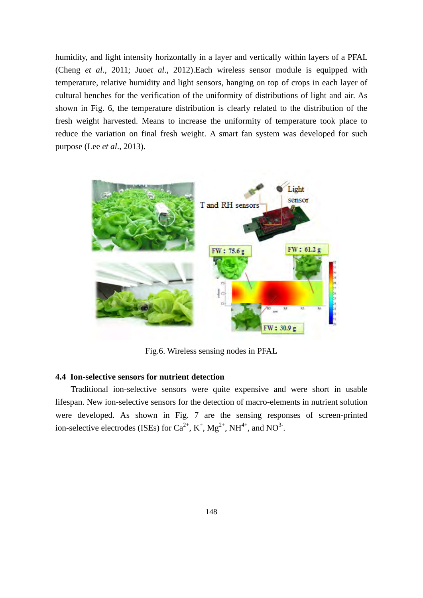humidity, and light intensity horizontally in a layer and vertically within layers of a PFAL (Cheng et al., 2011; Juoet al., 2012). Each wireless sensor module is equipped with temperature, relative humidity and light sensors, hanging on top of crops in each layer of cultural benches for the verification of the uniformity of distributions of light and air. As shown in Fig. 6, the temperature distribution is clearly related to the distribution of the fresh weight harvested. Means to increase the uniformity of temperature took place to reduce the variation on final fresh weight. A smart fan system was developed for such purpose (Lee *et al.*, 2013).



Fig.6. Wireless sensing nodes in PFAL

### **4.4 Ion-se elective sen sors for nu utrient dete ection**

Traditional ion-selective sensors were quite expensive and were short in usable lifespan. New ion-selective sensors for the detection of macro-elements in nutrient solution were developed. As shown in Fig. 7 are the sensing responses of screen-printed ion-selective electrodes (ISEs) for  $Ca^{2+}$ , K<sup>+</sup>, Mg<sup>2+</sup>, NH<sup>4+</sup>, and NO<sup>3-</sup>.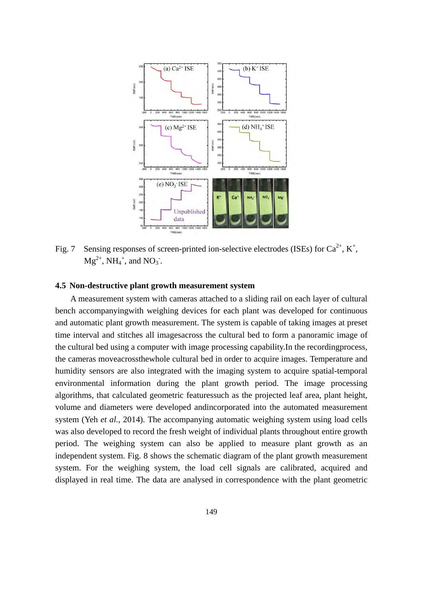

Fig. 7 Sensing responses of screen-printed ion-selective electrodes (ISEs) for  $Ca^{2+}$ ,  $K^+$ ,  $Mg^{2+}$ , NH<sub>4</sub><sup>+</sup>, and NO<sub>3</sub><sup>-</sup>.

## **4.5 Non-destructive plant growth measurement system**

A measurement system with cameras attached to a sliding rail on each layer of cultural bench accompanyingwith weighing devices for each plant was developed for continuous and automatic plant growth measurement. The system is capable of taking images at preset time interval and stitches all imagesacross the cultural bed to form a panoramic image of the cultural bed using a computer with image processing capability.In the recordingprocess, the cameras moveacrossthewhole cultural bed in order to acquire images. Temperature and humidity sensors are also integrated with the imaging system to acquire spatial-temporal environmental information during the plant growth period. The image processing algorithms, that calculated geometric featuressuch as the projected leaf area, plant height, volume and diameters were developed andincorporated into the automated measurement system (Yeh *et al.*, 2014). The accompanying automatic weighing system using load cells was also developed to record the fresh weight of individual plants throughout entire growth period. The weighing system can also be applied to measure plant growth as an independent system. Fig. 8 shows the schematic diagram of the plant growth measurement system. For the weighing system, the load cell signals are calibrated, acquired and displayed in real time. The data are analysed in correspondence with the plant geometric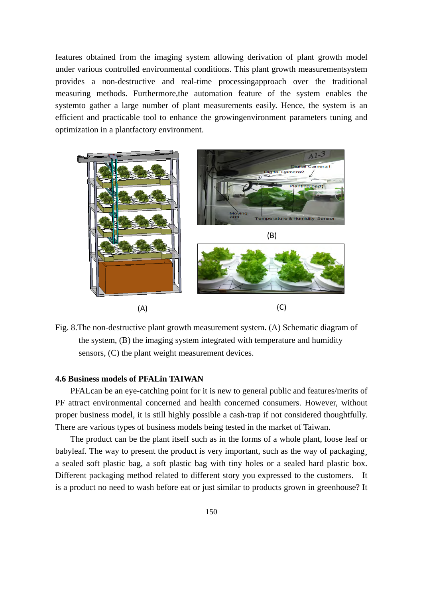features obtained from the imaging system allowing derivation of plant growth model under various controlled environmental conditions. This plant growth measurementsystem provides a non-destructive and real-time processingapproach over the traditional measuring methods. Furthermore,the automation feature of the system enables the systemto gather a large number of plant measurements easily. Hence, the system is an efficient and practicable tool to enhance the growingenvironment parameters tuning and optimization in a plantfactory environment.



Fig. 8.The non-destructive plant growth measurement system. (A) Schematic diagram of the system, (B) the imaging system integrated with temperature and humidity sensors, (C) the plant weight measurement devices.

## **4.6 Business models of PFALin TAIWAN**

PFALcan be an eye-catching point for it is new to general public and features/merits of PF attract environmental concerned and health concerned consumers. However, without proper business model, it is still highly possible a cash-trap if not considered thoughtfully. There are various types of business models being tested in the market of Taiwan.

The product can be the plant itself such as in the forms of a whole plant, loose leaf or babyleaf. The way to present the product is very important, such as the way of packaging, a sealed soft plastic bag, a soft plastic bag with tiny holes or a sealed hard plastic box. Different packaging method related to different story you expressed to the customers. It is a product no need to wash before eat or just similar to products grown in greenhouse? It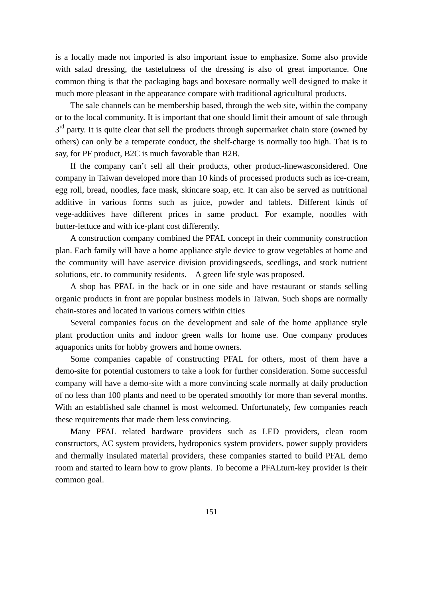is a locally made not imported is also important issue to emphasize. Some also provide with salad dressing, the tastefulness of the dressing is also of great importance. One common thing is that the packaging bags and boxesare normally well designed to make it much more pleasant in the appearance compare with traditional agricultural products.

The sale channels can be membership based, through the web site, within the company or to the local community. It is important that one should limit their amount of sale through  $3<sup>rd</sup>$  party. It is quite clear that sell the products through supermarket chain store (owned by others) can only be a temperate conduct, the shelf-charge is normally too high. That is to say, for PF product, B2C is much favorable than B2B.

If the company can't sell all their products, other product-linewasconsidered. One company in Taiwan developed more than 10 kinds of processed products such as ice-cream, egg roll, bread, noodles, face mask, skincare soap, etc. It can also be served as nutritional additive in various forms such as juice, powder and tablets. Different kinds of vege-additives have different prices in same product. For example, noodles with butter-lettuce and with ice-plant cost differently.

A construction company combined the PFAL concept in their community construction plan. Each family will have a home appliance style device to grow vegetables at home and the community will have aservice division providingseeds, seedlings, and stock nutrient solutions, etc. to community residents. A green life style was proposed.

A shop has PFAL in the back or in one side and have restaurant or stands selling organic products in front are popular business models in Taiwan. Such shops are normally chain-stores and located in various corners within cities

Several companies focus on the development and sale of the home appliance style plant production units and indoor green walls for home use. One company produces aquaponics units for hobby growers and home owners.

Some companies capable of constructing PFAL for others, most of them have a demo-site for potential customers to take a look for further consideration. Some successful company will have a demo-site with a more convincing scale normally at daily production of no less than 100 plants and need to be operated smoothly for more than several months. With an established sale channel is most welcomed. Unfortunately, few companies reach these requirements that made them less convincing.

Many PFAL related hardware providers such as LED providers, clean room constructors, AC system providers, hydroponics system providers, power supply providers and thermally insulated material providers, these companies started to build PFAL demo room and started to learn how to grow plants. To become a PFALturn-key provider is their common goal.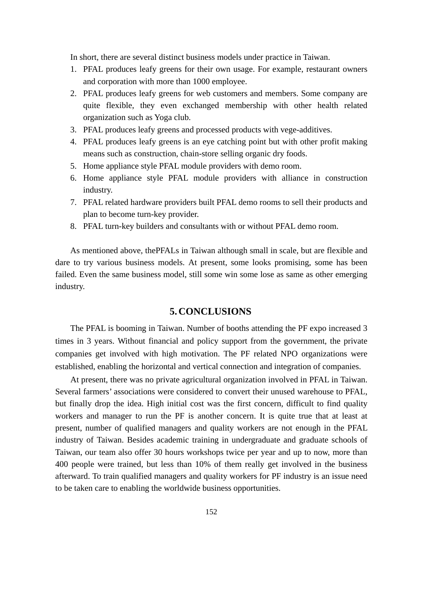In short, there are several distinct business models under practice in Taiwan.

- 1. PFAL produces leafy greens for their own usage. For example, restaurant owners and corporation with more than 1000 employee.
- 2. PFAL produces leafy greens for web customers and members. Some company are quite flexible, they even exchanged membership with other health related organization such as Yoga club.
- 3. PFAL produces leafy greens and processed products with vege-additives.
- 4. PFAL produces leafy greens is an eye catching point but with other profit making means such as construction, chain-store selling organic dry foods.
- 5. Home appliance style PFAL module providers with demo room.
- 6. Home appliance style PFAL module providers with alliance in construction industry.
- 7. PFAL related hardware providers built PFAL demo rooms to sell their products and plan to become turn-key provider.
- 8. PFAL turn-key builders and consultants with or without PFAL demo room.

As mentioned above, thePFALs in Taiwan although small in scale, but are flexible and dare to try various business models. At present, some looks promising, some has been failed. Even the same business model, still some win some lose as same as other emerging industry.

# **5. CONCLUSIONS**

The PFAL is booming in Taiwan. Number of booths attending the PF expo increased 3 times in 3 years. Without financial and policy support from the government, the private companies get involved with high motivation. The PF related NPO organizations were established, enabling the horizontal and vertical connection and integration of companies.

At present, there was no private agricultural organization involved in PFAL in Taiwan. Several farmers' associations were considered to convert their unused warehouse to PFAL, but finally drop the idea. High initial cost was the first concern, difficult to find quality workers and manager to run the PF is another concern. It is quite true that at least at present, number of qualified managers and quality workers are not enough in the PFAL industry of Taiwan. Besides academic training in undergraduate and graduate schools of Taiwan, our team also offer 30 hours workshops twice per year and up to now, more than 400 people were trained, but less than 10% of them really get involved in the business afterward. To train qualified managers and quality workers for PF industry is an issue need to be taken care to enabling the worldwide business opportunities.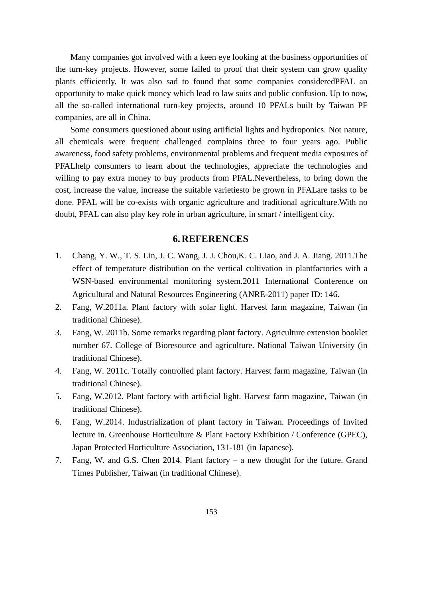Many companies got involved with a keen eye looking at the business opportunities of the turn-key projects. However, some failed to proof that their system can grow quality plants efficiently. It was also sad to found that some companies consideredPFAL an opportunity to make quick money which lead to law suits and public confusion. Up to now, all the so-called international turn-key projects, around 10 PFALs built by Taiwan PF companies, are all in China.

Some consumers questioned about using artificial lights and hydroponics. Not nature, all chemicals were frequent challenged complains three to four years ago. Public awareness, food safety problems, environmental problems and frequent media exposures of PFALhelp consumers to learn about the technologies, appreciate the technologies and willing to pay extra money to buy products from PFAL.Nevertheless, to bring down the cost, increase the value, increase the suitable varietiesto be grown in PFALare tasks to be done. PFAL will be co-exists with organic agriculture and traditional agriculture.With no doubt, PFAL can also play key role in urban agriculture, in smart / intelligent city.

# **6. REFERENCES**

- 1. Chang, Y. W., T. S. Lin, J. C. Wang, J. J. Chou,K. C. Liao, and J. A. Jiang. 2011.The effect of temperature distribution on the vertical cultivation in plantfactories with a WSN-based environmental monitoring system.2011 International Conference on Agricultural and Natural Resources Engineering (ANRE-2011) paper ID: 146.
- 2. Fang, W.2011a. Plant factory with solar light. Harvest farm magazine, Taiwan (in traditional Chinese).
- 3. Fang, W. 2011b. Some remarks regarding plant factory. Agriculture extension booklet number 67. College of Bioresource and agriculture. National Taiwan University (in traditional Chinese).
- 4. Fang, W. 2011c. Totally controlled plant factory. Harvest farm magazine, Taiwan (in traditional Chinese).
- 5. Fang, W.2012. Plant factory with artificial light. Harvest farm magazine, Taiwan (in traditional Chinese).
- 6. Fang, W.2014. Industrialization of plant factory in Taiwan. Proceedings of Invited lecture in. Greenhouse Horticulture & Plant Factory Exhibition / Conference (GPEC), Japan Protected Horticulture Association, 131-181 (in Japanese).
- 7. Fang, W. and G.S. Chen 2014. Plant factory a new thought for the future. Grand Times Publisher, Taiwan (in traditional Chinese).